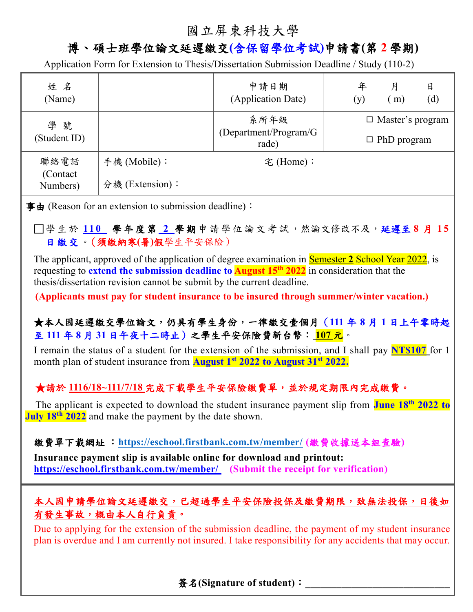# 國立屏東科技大學

## 博、碩士班學位論文延遲繳交**(**含保留學位考試**)**申請書**(**第 **2** 學期**)**

Application Form for Extension to Thesis/Dissertation Submission Deadline / Study (110-2)

| 姓名<br>(Name)                  |                 | 申請日期<br>(Application Date)      |  | 年<br>(y)                | 月<br>m) | 日<br>(d) |  |  |
|-------------------------------|-----------------|---------------------------------|--|-------------------------|---------|----------|--|--|
| 學號<br>(Student ID)            |                 | 系所年級                            |  | $\Box$ Master's program |         |          |  |  |
|                               |                 | (Department/Program/G)<br>rade) |  | $\Box$ PhD program      |         |          |  |  |
| 聯絡電話<br>(Contact)<br>Numbers) | 手機 (Mobile):    | 宅(Home):                        |  |                         |         |          |  |  |
|                               | 分機 (Extension): |                                 |  |                         |         |          |  |  |
|                               |                 |                                 |  |                         |         |          |  |  |

事由 (Reason for an extension to submission deadline):

□學生於110 學年度第2學期申請學位論文考試,然論文修改不及,延遲至8月15 日繳交。(須繳納寒**(**暑**)**假學生平安保險)

The applicant, approved of the application of degree examination in Semester **2** School Year 2022, is requesting to **extend the submission deadline to August 15th 2022** in consideration that the thesis/dissertation revision cannot be submit by the current deadline.

**(Applicants must pay for student insurance to be insured through summer/winter vacation.)**

#### ★本人因延遲繳交學位論文,仍具有學生身份,一律繳交壹個月(**111** 年 **8** 月 **1** 日上午零時起 至 **111** 年 **8** 月 **31** 日午夜十二時止)之學生平安保險費新台幣: **107** 元。

I remain the status of a student for the extension of the submission, and I shall pay **NT\$107** for 1 month plan of student insurance from **August 1 st 2022 to August 31st 2022.**

### **★請於 1116/18~111/7/18 完成下載學生平安保險繳費單,並於規定期限內完成繳費。**

The applicant is expected to download the student insurance payment slip from **June 18th 2022 to July 18th 2022** and make the payment by the date shown.

繳費單下載網址 :**<https://eschool.firstbank.com.tw/member/> (**繳費收據送本組查驗**)**

**Insurance payment slip is available online for download and printout: <https://eschool.firstbank.com.tw/member/> (Submit the receipt for verification)**

### 本人因申請學位論文延遲繳交,已超過學生平安保險投保及繳費期限,致無法投保,日後如 有發生事故,概由本人自行負責。

Due to applying for the extension of the submission deadline, the payment of my student insurance plan is overdue and I am currently not insured. I take responsibility for any accidents that may occur.

簽名**(Signature of student)**:**\_\_\_\_\_\_\_\_\_\_\_\_\_\_\_\_\_\_\_\_\_\_\_\_\_\_\_\_**